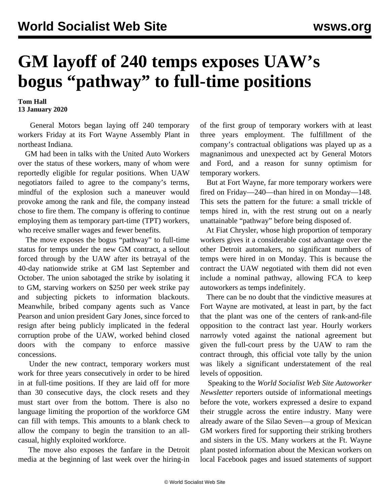## **GM layoff of 240 temps exposes UAW's bogus "pathway" to full-time positions**

**Tom Hall 13 January 2020**

 General Motors began laying off 240 temporary workers Friday at its Fort Wayne Assembly Plant in northeast Indiana.

 GM had been in talks with the United Auto Workers over the status of these workers, many of whom were reportedly eligible for regular positions. When UAW negotiators failed to agree to the company's terms, mindful of the explosion such a maneuver would provoke among the rank and file, the company instead chose to fire them. The company is offering to continue employing them as temporary part-time (TPT) workers, who receive smaller wages and fewer benefits.

 The move exposes the bogus "pathway" to full-time status for temps under the new GM contract, a sellout forced through by the UAW after its betrayal of the 40-day nationwide strike at GM last September and October. The union sabotaged the strike by isolating it to GM, starving workers on \$250 per week strike pay and subjecting pickets to information blackouts. Meanwhile, bribed company agents such as Vance Pearson and union president Gary Jones, since forced to resign after being publicly implicated in the federal corruption probe of the UAW, worked behind closed doors with the company to enforce massive concessions.

 Under the new contract, temporary workers must work for three years consecutively in order to be hired in at full-time positions. If they are laid off for more than 30 consecutive days, the clock resets and they must start over from the bottom. There is also no language limiting the proportion of the workforce GM can fill with temps. This amounts to a blank check to allow the company to begin the transition to an allcasual, highly exploited workforce.

 The move also exposes the fanfare in the Detroit media at the beginning of last week over the hiring-in

of the first group of temporary workers with at least three years employment. The fulfillment of the company's contractual obligations was played up as a magnanimous and unexpected act by General Motors and Ford, and a reason for sunny optimism for temporary workers.

 But at Fort Wayne, far more temporary workers were fired on Friday—240—than hired in on Monday—148. This sets the pattern for the future: a small trickle of temps hired in, with the rest strung out on a nearly unattainable "pathway" before being disposed of.

 At Fiat Chrysler, whose high proportion of temporary workers gives it a considerable cost advantage over the other Detroit automakers, no significant numbers of temps were hired in on Monday. This is because the contract the UAW negotiated with them did not even include a nominal pathway, allowing FCA to keep autoworkers as temps indefinitely.

 There can be no doubt that the vindictive measures at Fort Wayne are motivated, at least in part, by the fact that the plant was one of the centers of rank-and-file opposition to the contract last year. Hourly workers narrowly voted against the national agreement but given the full-court press by the UAW to ram the contract through, this official vote tally by the union was likely a significant understatement of the real levels of opposition.

 Speaking to the *World Socialist Web Site Autoworker Newsletter* reporters outside of informational meetings before the vote, workers expressed a desire to expand their struggle across the entire industry. Many were already aware of the Silao Seven—a group of Mexican GM workers fired for supporting their striking brothers and sisters in the US. Many workers at the Ft. Wayne plant posted information about the Mexican workers on local Facebook pages and issued statements of support